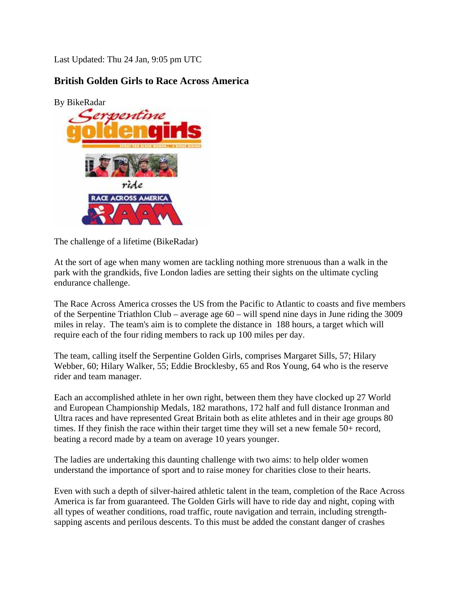Last Updated: Thu 24 Jan, 9:05 pm UTC

## **British Golden Girls to Race Across America**

[By BikeRadar](http://www.bikeradar.com/gallery/article/british-golden-girls-to-race-across-america-14148?img=1) 



The challenge of a lifetime (BikeRadar)

At the sort of age when many women are tackling nothing more strenuous than a walk in the park with the grandkids, five London ladies are setting their sights on the ultimate cycling endurance challenge.

The Race Across America crosses the US from the Pacific to Atlantic to coasts and five members of the Serpentine Triathlon Club – average age 60 – will spend nine days in June riding the 3009 miles in relay. The team's aim is to complete the distance in 188 hours, a target which will require each of the four riding members to rack up 100 miles per day.

The team, calling itself the Serpentine Golden Girls, comprises Margaret Sills, 57; Hilary Webber, 60; Hilary Walker, 55; Eddie Brocklesby, 65 and Ros Young, 64 who is the reserve rider and team manager.

Each an accomplished athlete in her own right, between them they have clocked up 27 World and European Championship Medals, 182 marathons, 172 half and full distance Ironman and Ultra races and have represented Great Britain both as elite athletes and in their age groups 80 times. If they finish the race within their target time they will set a new female 50+ record, beating a record made by a team on average 10 years younger.

The ladies are undertaking this daunting challenge with two aims: to help older women understand the importance of sport and to raise money for charities close to their hearts.

Even with such a depth of silver-haired athletic talent in the team, completion of the Race Across America is far from guaranteed. The Golden Girls will have to ride day and night, coping with all types of weather conditions, road traffic, route navigation and terrain, including strengthsapping ascents and perilous descents. To this must be added the constant danger of crashes